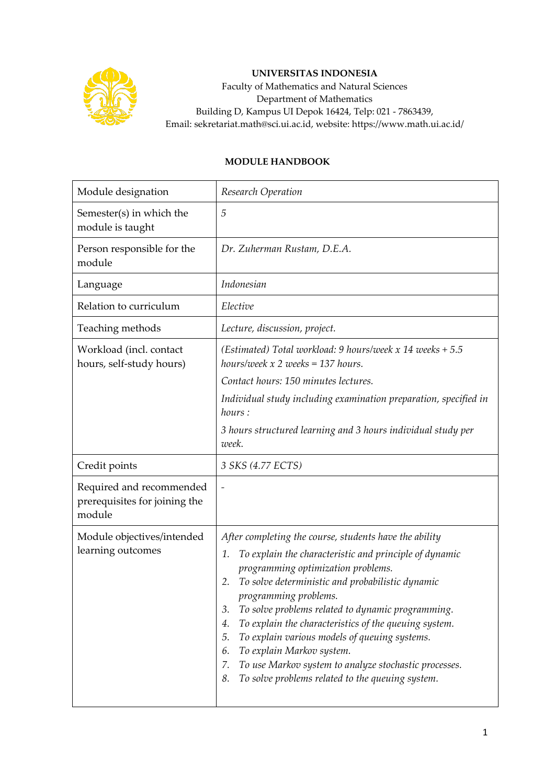

## **UNIVERSITAS INDONESIA**

Faculty of Mathematics and Natural Sciences Department of Mathematics Building D, Kampus UI Depok 16424, Telp: 021 - 7863439, Email: sekretariat.math@sci.ui.ac.id, website: https://www.math.ui.ac.id/

## **MODULE HANDBOOK**

| Module designation                                                  | Research Operation                                                                                                                                                                                                                                                                                                                                                                                                                                                                                                                                                                           |
|---------------------------------------------------------------------|----------------------------------------------------------------------------------------------------------------------------------------------------------------------------------------------------------------------------------------------------------------------------------------------------------------------------------------------------------------------------------------------------------------------------------------------------------------------------------------------------------------------------------------------------------------------------------------------|
| Semester(s) in which the<br>module is taught                        | 5                                                                                                                                                                                                                                                                                                                                                                                                                                                                                                                                                                                            |
| Person responsible for the<br>module                                | Dr. Zuherman Rustam, D.E.A.                                                                                                                                                                                                                                                                                                                                                                                                                                                                                                                                                                  |
| Language                                                            | Indonesian                                                                                                                                                                                                                                                                                                                                                                                                                                                                                                                                                                                   |
| Relation to curriculum                                              | Elective                                                                                                                                                                                                                                                                                                                                                                                                                                                                                                                                                                                     |
| Teaching methods                                                    | Lecture, discussion, project.                                                                                                                                                                                                                                                                                                                                                                                                                                                                                                                                                                |
| Workload (incl. contact<br>hours, self-study hours)                 | (Estimated) Total workload: 9 hours/week x 14 weeks $+ 5.5$<br>hours/week $x$ 2 weeks = 137 hours.<br>Contact hours: 150 minutes lectures.<br>Individual study including examination preparation, specified in<br>hours :<br>3 hours structured learning and 3 hours individual study per<br>week.                                                                                                                                                                                                                                                                                           |
| Credit points                                                       | 3 SKS (4.77 ECTS)                                                                                                                                                                                                                                                                                                                                                                                                                                                                                                                                                                            |
| Required and recommended<br>prerequisites for joining the<br>module | $\overline{a}$                                                                                                                                                                                                                                                                                                                                                                                                                                                                                                                                                                               |
| Module objectives/intended<br>learning outcomes                     | After completing the course, students have the ability<br>To explain the characteristic and principle of dynamic<br>1.<br>programming optimization problems.<br>To solve deterministic and probabilistic dynamic<br>2.<br>programming problems.<br>3.<br>To solve problems related to dynamic programming.<br>To explain the characteristics of the queuing system.<br>4.<br>To explain various models of queuing systems.<br>5.<br>To explain Markov system.<br>6.<br>To use Markov system to analyze stochastic processes.<br>7.<br>To solve problems related to the queuing system.<br>8. |